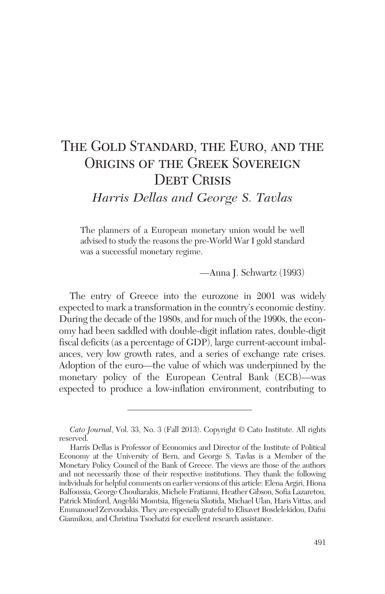# The Gold Standard, the Euro, and the ORIGINS OF THE GREEK SOVEREIGN **DEBT CRISIS**

*Harris Dellas and George S. Tavlas*

The planners of a European monetary union would be well advised to study the reasons the pre-World War I gold standard was a successful monetary regime.

—Anna J. Schwartz (1993)

The entry of Greece into the eurozone in 2001 was widely expected to mark a transformation in the country's economic destiny. During the decade of the 1980s, and for much of the 1990s, the economy had been saddled with double-digit inflation rates, double-digit fiscal deficits (as a percentage of GDP), large current-account imbalances, very low growth rates, and a series of exchange rate crises. Adoption of the euro—the value of which was underpinned by the monetary policy of the European Central Bank (ECB)—was expected to produce a low-inflation environment, contributing to

*Cato Journal*, Vol. 33, No. 3 (Fall 2013). Copyright © Cato Institute. All rights reserved.

Harris Dellas is Professor of Economics and Director of the Institute of Political Economy at the University of Bern, and George S. Tavlas is a Member of the Monetary Policy Council of the Bank of Greece. The views are those of the authors and not necessarily those of their respective institutions. They thank the following individuals for helpful comments on earlier versions of this article: Elena Argiri, Hiona Balfoussia, George Chouliarakis, Michele Fratianni, Heather Gibson, Sofia Lazaretou, Patrick Minford, Angeliki Momtsia, Ifigeneia Skotida, Michael Ulan, Haris Vittas, and Emmanouel Zervoudakis. They are especially grateful to Elisavet Bosdelekidou, Dafni Giannikou, and Christina Tsochatzi for excellent research assistance.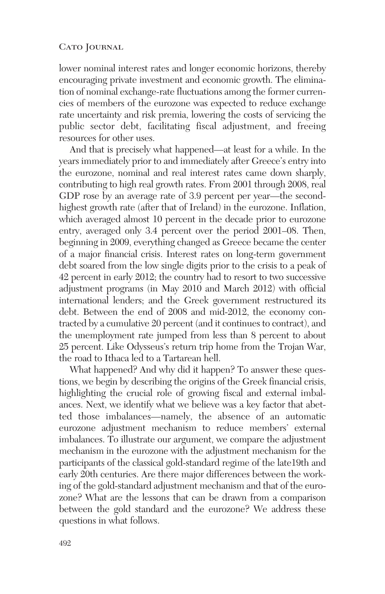lower nominal interest rates and longer economic horizons, thereby encouraging private investment and economic growth. The elimination of nominal exchange-rate fluctuations among the former currencies of members of the eurozone was expected to reduce exchange rate uncertainty and risk premia, lowering the costs of servicing the public sector debt, facilitating fiscal adjustment, and freeing resources for other uses.

And that is precisely what happened—at least for a while. In the years immediately prior to and immediately after Greece's entry into the eurozone, nominal and real interest rates came down sharply, contributing to high real growth rates. From 2001 through 2008, real GDP rose by an average rate of 3.9 percent per year—the secondhighest growth rate (after that of Ireland) in the eurozone. Inflation, which averaged almost 10 percent in the decade prior to eurozone entry, averaged only 3.4 percent over the period 2001–08. Then, beginning in 2009, everything changed as Greece became the center of a major financial crisis. Interest rates on long-term government debt soared from the low single digits prior to the crisis to a peak of 42 percent in early 2012; the country had to resort to two successive adjustment programs (in May 2010 and March 2012) with official international lenders; and the Greek government restructured its debt. Between the end of 2008 and mid-2012, the economy contracted by a cumulative 20 percent (and it continues to contract), and the unemployment rate jumped from less than 8 percent to about 25 percent. Like Odysseus's return trip home from the Trojan War, the road to Ithaca led to a Tartarean hell.

What happened? And why did it happen? To answer these questions, we begin by describing the origins of the Greek financial crisis, highlighting the crucial role of growing fiscal and external imbalances. Next, we identify what we believe was a key factor that abetted those imbalances—namely, the absence of an automatic eurozone adjustment mechanism to reduce members' external imbalances. To illustrate our argument, we compare the adjustment mechanism in the eurozone with the adjustment mechanism for the participants of the classical gold-standard regime of the late19th and early 20th centuries. Are there major differences between the working of the gold-standard adjustment mechanism and that of the eurozone? What are the lessons that can be drawn from a comparison between the gold standard and the eurozone? We address these questions in what follows.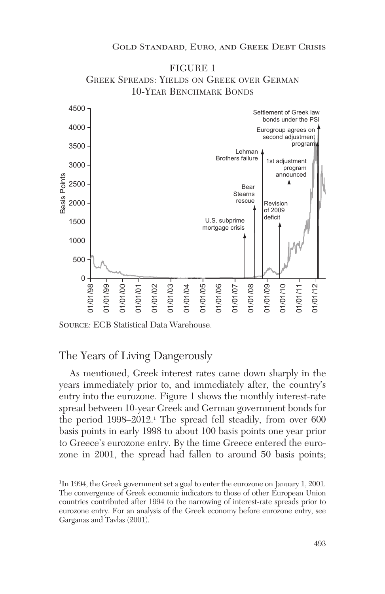

FIGURE 1 GREEK SPREADS: YIELDS ON GREEK OVER GERMAN

Source: ECB Statistical Data Warehouse.

## The Years of Living Dangerously

As mentioned, Greek interest rates came down sharply in the years immediately prior to, and immediately after, the country's entry into the eurozone. Figure 1 shows the monthly interest-rate spread between 10-year Greek and German government bonds for the period 1998–2012.<sup>1</sup> The spread fell steadily, from over 600 basis points in early 1998 to about 100 basis points one year prior to Greece's eurozone entry. By the time Greece entered the eurozone in 2001, the spread had fallen to around 50 basis points;

<sup>1</sup> In 1994, the Greek government set a goal to enter the eurozone on January 1, 2001. The convergence of Greek economic indicators to those of other European Union countries contributed after 1994 to the narrowing of interest-rate spreads prior to eurozone entry. For an analysis of the Greek economy before eurozone entry, see Garganas and Tavlas (2001).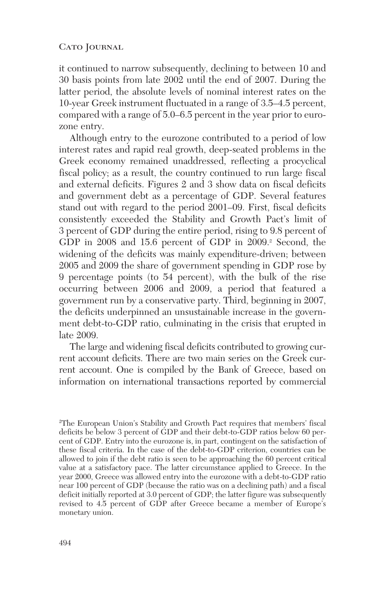it continued to narrow subsequently, declining to between 10 and 30 basis points from late 2002 until the end of 2007. During the latter period, the absolute levels of nominal interest rates on the 10-year Greek instrument fluctuated in a range of 3.5–4.5 percent, compared with a range of 5.0–6.5 percent in the year prior to eurozone entry.

Although entry to the eurozone contributed to a period of low interest rates and rapid real growth, deep-seated problems in the Greek economy remained unaddressed, reflecting a procyclical fiscal policy; as a result, the country continued to run large fiscal and external deficits. Figures 2 and 3 show data on fiscal deficits and government debt as a percentage of GDP. Several features stand out with regard to the period 2001–09. First, fiscal deficits consistently exceeded the Stability and Growth Pact's limit of 3 percent of GDP during the entire period, rising to 9.8 percent of GDP in 2008 and 15.6 percent of GDP in 2009.<sup>2</sup> Second, the widening of the deficits was mainly expenditure-driven; between 2005 and 2009 the share of government spending in GDP rose by 9 percentage points (to 54 percent), with the bulk of the rise occurring between 2006 and 2009, a period that featured a government run by a conservative party. Third, beginning in 2007, the deficits underpinned an unsustainable increase in the government debt-to-GDP ratio, culminating in the crisis that erupted in late 2009.

The large and widening fiscal deficits contributed to growing current account deficits. There are two main series on the Greek current account. One is compiled by the Bank of Greece, based on information on international transactions reported by commercial

<sup>2</sup> The European Union's Stability and Growth Pact requires that members' fiscal deficits be below 3 percent of GDP and their debt-to-GDP ratios below 60 percent of GDP. Entry into the eurozone is, in part, contingent on the satisfaction of these fiscal criteria. In the case of the debt-to-GDP criterion, countries can be allowed to join if the debt ratio is seen to be approaching the 60 percent critical value at a satisfactory pace. The latter circumstance applied to Greece. In the year 2000, Greece was allowed entry into the eurozone with a debt-to-GDP ratio near 100 percent of GDP (because the ratio was on a declining path) and a fiscal deficit initially reported at 3.0 percent of GDP; the latter figure was subsequently revised to 4.5 percent of GDP after Greece became a member of Europe's monetary union.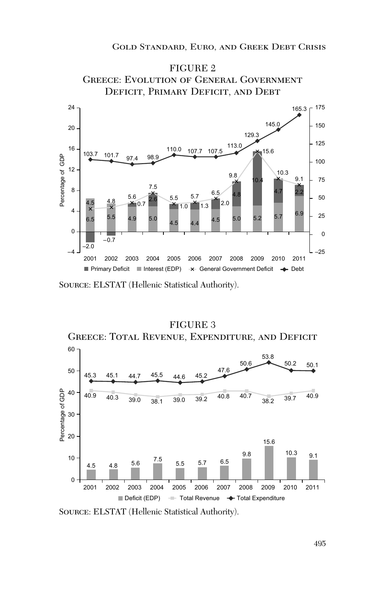

Source: ELSTAT (Hellenic Statistical Authority).

#### FIGURE 3



Source: ELSTAT (Hellenic Statistical Authority).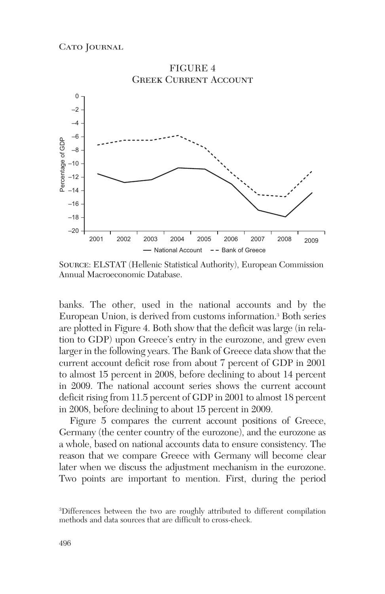

Source: ELSTAT (Hellenic Statistical Authority), European Commission Annual Macroeconomic Database.

banks. The other, used in the national accounts and by the European Union, is derived from customs information.3 Both series are plotted in Figure 4. Both show that the deficit was large (in relation to GDP) upon Greece's entry in the eurozone, and grew even larger in the following years. The Bank of Greece data show that the current account deficit rose from about 7 percent of GDP in 2001 to almost 15 percent in 2008, before declining to about 14 percent in 2009. The national account series shows the current account deficit rising from 11.5 percent of GDP in 2001 to almost 18 percent in 2008, before declining to about 15 percent in 2009.

Figure 5 compares the current account positions of Greece, Germany (the center country of the eurozone), and the eurozone as a whole, based on national accounts data to ensure consistency. The reason that we compare Greece with Germany will become clear later when we discuss the adjustment mechanism in the eurozone. Two points are important to mention. First, during the period

<sup>3</sup> Differences between the two are roughly attributed to different compilation methods and data sources that are difficult to cross-check.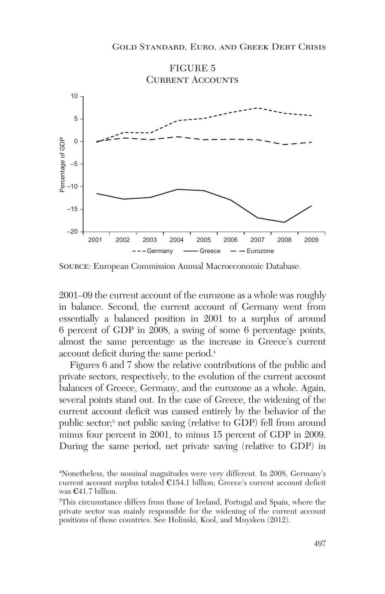

Source: European Commission Annual Macroeconomic Database.

2001–09 the current account of the eurozone as a whole was roughly in balance. Second, the current account of Germany went from essentially a balanced position in 2001 to a surplus of around 6 percent of GDP in 2008, a swing of some 6 percentage points, almost the same percentage as the increase in Greece's current account deficit during the same period.4

Figures 6 and 7 show the relative contributions of the public and private sectors, respectively, to the evolution of the current account balances of Greece, Germany, and the eurozone as a whole. Again, several points stand out. In the case of Greece, the widening of the current account deficit was caused entirely by the behavior of the public sector;5 net public saving (relative to GDP) fell from around minus four percent in 2001, to minus 15 percent of GDP in 2009. During the same period, net private saving (relative to GDP) in

<sup>4</sup> Nonetheless, the nominal magnitudes were very different. In 2008, Germany's current account surplus totaled €154.1 billion; Greece's current account deficit was €41.7 billion.

<sup>5</sup> This circumstance differs from those of Ireland, Portugal and Spain, where the private sector was mainly responsible for the widening of the current account positions of those countries. See Holinski, Kool, and Muysken (2012).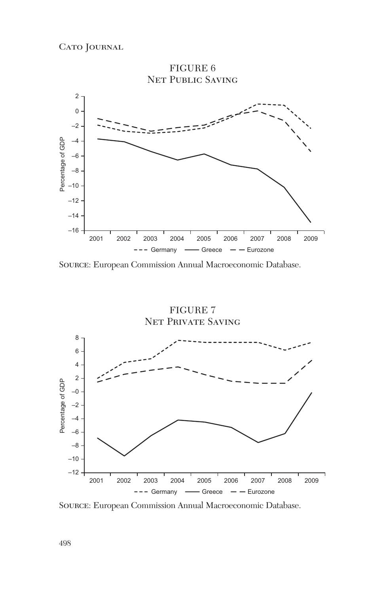

Source: European Commission Annual Macroeconomic Database.

FIGURE 7 Net Private Saving 8 6 4 2 Percentage of GDP Percentage of GDP –0 –2 –4 –6 –8 –10  $-12 -$ 2001 2002 2003 2004 2005 2006 2007 2008 2009  $---$  Germany  $---$  Greece  $---$  Eurozone

Source: European Commission Annual Macroeconomic Database.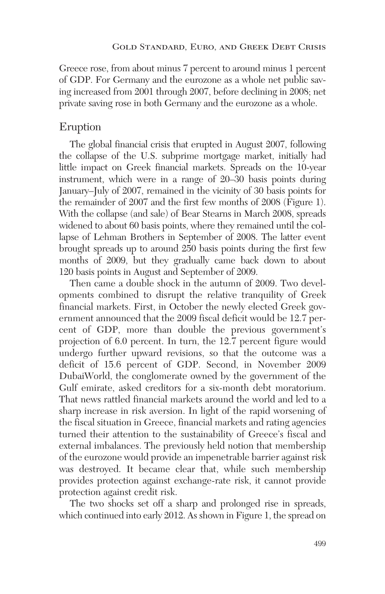Greece rose, from about minus 7 percent to around minus 1 percent of GDP. For Germany and the eurozone as a whole net public saving increased from 2001 through 2007, before declining in 2008; net private saving rose in both Germany and the eurozone as a whole.

### Eruption

The global financial crisis that erupted in August 2007, following the collapse of the U.S. subprime mortgage market, initially had little impact on Greek financial markets. Spreads on the 10-year instrument, which were in a range of 20–30 basis points during January–July of 2007, remained in the vicinity of 30 basis points for the remainder of 2007 and the first few months of 2008 (Figure 1). With the collapse (and sale) of Bear Stearns in March 2008, spreads widened to about 60 basis points, where they remained until the collapse of Lehman Brothers in September of 2008. The latter event brought spreads up to around 250 basis points during the first few months of 2009, but they gradually came back down to about 120 basis points in August and September of 2009.

Then came a double shock in the autumn of 2009. Two developments combined to disrupt the relative tranquility of Greek financial markets. First, in October the newly elected Greek government announced that the 2009 fiscal deficit would be 12.7 percent of GDP, more than double the previous government's projection of 6.0 percent. In turn, the 12.7 percent figure would undergo further upward revisions, so that the outcome was a deficit of 15.6 percent of GDP. Second, in November 2009 DubaiWorld, the conglomerate owned by the government of the Gulf emirate, asked creditors for a six-month debt moratorium. That news rattled financial markets around the world and led to a sharp increase in risk aversion. In light of the rapid worsening of the fiscal situation in Greece, financial markets and rating agencies turned their attention to the sustainability of Greece's fiscal and external imbalances. The previously held notion that membership of the eurozone would provide an impenetrable barrier against risk was destroyed. It became clear that, while such membership provides protection against exchange-rate risk, it cannot provide protection against credit risk.

The two shocks set off a sharp and prolonged rise in spreads, which continued into early 2012. As shown in Figure 1, the spread on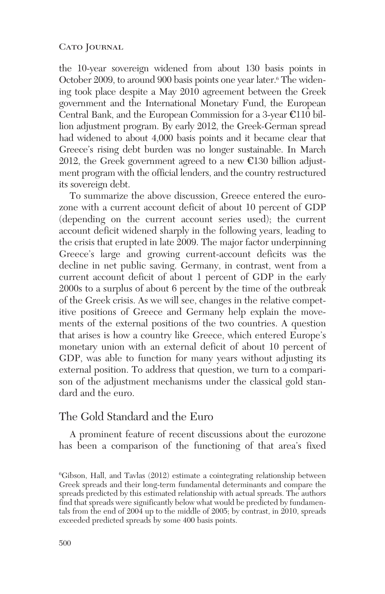the 10-year sovereign widened from about 130 basis points in October 2009, to around 900 basis points one year later.<sup>6</sup> The widening took place despite a May 2010 agreement between the Greek government and the International Monetary Fund, the European Central Bank, and the European Commission for a 3-year  $\mathbb{C}110$  billion adjustment program. By early 2012, the Greek-German spread had widened to about 4,000 basis points and it became clear that Greece's rising debt burden was no longer sustainable. In March 2012, the Greek government agreed to a new  $\epsilon$ 130 billion adjustment program with the official lenders, and the country restructured its sovereign debt.

To summarize the above discussion, Greece entered the eurozone with a current account deficit of about 10 percent of GDP (depending on the current account series used); the current account deficit widened sharply in the following years, leading to the crisis that erupted in late 2009. The major factor underpinning Greece's large and growing current-account deficits was the decline in net public saving. Germany, in contrast, went from a current account deficit of about 1 percent of GDP in the early 2000s to a surplus of about 6 percent by the time of the outbreak of the Greek crisis. As we will see, changes in the relative competitive positions of Greece and Germany help explain the movements of the external positions of the two countries. A question that arises is how a country like Greece, which entered Europe's monetary union with an external deficit of about 10 percent of GDP, was able to function for many years without adjusting its external position. To address that question, we turn to a comparison of the adjustment mechanisms under the classical gold standard and the euro.

# The Gold Standard and the Euro

A prominent feature of recent discussions about the eurozone has been a comparison of the functioning of that area's fixed

<sup>6</sup> Gibson, Hall, and Tavlas (2012) estimate a cointegrating relationship between Greek spreads and their long-term fundamental determinants and compare the spreads predicted by this estimated relationship with actual spreads. The authors find that spreads were significantly below what would be predicted by fundamentals from the end of 2004 up to the middle of 2005; by contrast, in 2010, spreads exceeded predicted spreads by some 400 basis points.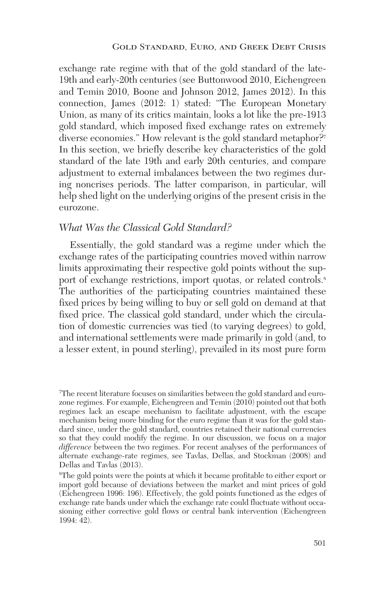exchange rate regime with that of the gold standard of the late-19th and early-20th centuries (see Buttonwood 2010, Eichengreen and Temin 2010, Boone and Johnson 2012, James 2012). In this connection, James (2012: 1) stated: "The European Monetary Union, as many of its critics maintain, looks a lot like the pre-1913 gold standard, which imposed fixed exchange rates on extremely diverse economies." How relevant is the gold standard metaphor?<sup>7</sup> In this section, we briefly describe key characteristics of the gold standard of the late 19th and early 20th centuries, and compare adjustment to external imbalances between the two regimes during noncrises periods. The latter comparison, in particular, will help shed light on the underlying origins of the present crisis in the eurozone.

### *What Was the Classical Gold Standard?*

Essentially, the gold standard was a regime under which the exchange rates of the participating countries moved within narrow limits approximating their respective gold points without the support of exchange restrictions, import quotas, or related controls.<sup>8</sup> The authorities of the participating countries maintained these fixed prices by being willing to buy or sell gold on demand at that fixed price. The classical gold standard, under which the circulation of domestic currencies was tied (to varying degrees) to gold, and international settlements were made primarily in gold (and, to a lesser extent, in pound sterling), prevailed in its most pure form

<sup>7</sup> The recent literature focuses on similarities between the gold standard and eurozone regimes. For example, Eichengreen and Temin (2010) pointed out that both regimes lack an escape mechanism to facilitate adjustment, with the escape mechanism being more binding for the euro regime than it was for the gold standard since, under the gold standard, countries retained their national currencies so that they could modify the regime. In our discussion, we focus on a major *difference* between the two regimes. For recent analyses of the performances of alternate exchange-rate regimes, see Tavlas, Dellas, and Stockman (2008) and Dellas and Tavlas (2013).

<sup>8</sup> The gold points were the points at which it became profitable to either export or import gold because of deviations between the market and mint prices of gold (Eichengreen 1996: 196). Effectively, the gold points functioned as the edges of exchange rate bands under which the exchange rate could fluctuate without occasioning either corrective gold flows or central bank intervention (Eichengreen 1994: 42).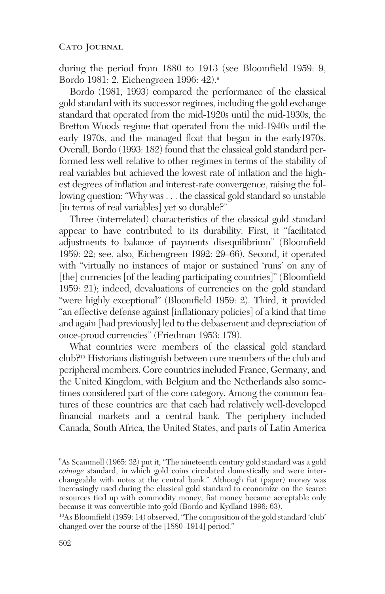during the period from 1880 to 1913 (see Bloomfield 1959: 9, Bordo 1981: 2, Eichengreen 1996: 42).9

Bordo (1981, 1993) compared the performance of the classical gold standard with its successor regimes, including the gold exchange standard that operated from the mid-1920s until the mid-1930s, the Bretton Woods regime that operated from the mid-1940s until the early 1970s, and the managed float that began in the early1970s. Overall, Bordo (1993: 182) found that the classical gold standard performed less well relative to other regimes in terms of the stability of real variables but achieved the lowest rate of inflation and the highest degrees of inflation and interest-rate convergence, raising the following question: "Why was . . . the classical gold standard so unstable [in terms of real variables] yet so durable?"

Three (interrelated) characteristics of the classical gold standard appear to have contributed to its durability. First, it "facilitated adjustments to balance of payments disequilibrium" (Bloomfield 1959: 22; see, also, Eichengreen 1992: 29–66). Second, it operated with "virtually no instances of major or sustained 'runs' on any of [the] currencies [of the leading participating countries]" (Bloomfield 1959: 21); indeed, devaluations of currencies on the gold standard "were highly exceptional" (Bloomfield 1959: 2). Third, it provided "an effective defense against [inflationary policies] of a kind that time and again [had previously] led to the debasement and depreciation of once-proud currencies" (Friedman 1953: 179).

What countries were members of the classical gold standard club?10 Historians distinguish between core members of the club and peripheral members. Core countries included France, Germany, and the United Kingdom, with Belgium and the Netherlands also sometimes considered part of the core category. Among the common features of these countries are that each had relatively well-developed financial markets and a central bank. The periphery included Canada, South Africa, the United States, and parts of Latin America

10As Bloomfield (1959: 14) observed, "The composition of the gold standard 'club' changed over the course of the [1880–1914] period."

<sup>9</sup> As Scammell (1965: 32) put it, "The nineteenth century gold standard was a gold *coinage* standard, in which gold coins circulated domestically and were interchangeable with notes at the central bank." Although fiat (paper) money was increasingly used during the classical gold standard to economize on the scarce resources tied up with commodity money, fiat money became acceptable only because it was convertible into gold (Bordo and Kydland 1996: 63).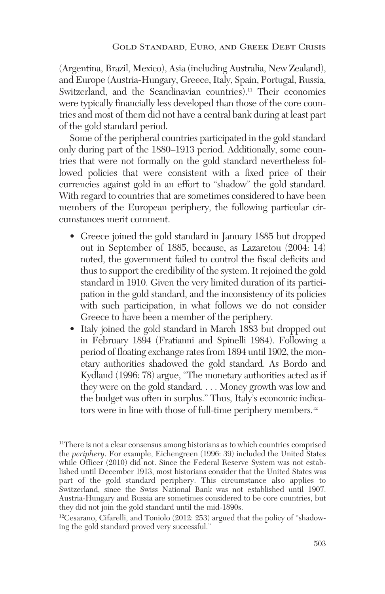(Argentina, Brazil, Mexico), Asia (including Australia, New Zealand), and Europe (Austria-Hungary, Greece, Italy, Spain, Portugal, Russia, Switzerland, and the Scandinavian countries).<sup>11</sup> Their economies were typically financially less developed than those of the core countries and most of them did not have a central bank during at least part of the gold standard period.

Some of the peripheral countries participated in the gold standard only during part of the 1880–1913 period. Additionally, some countries that were not formally on the gold standard nevertheless followed policies that were consistent with a fixed price of their currencies against gold in an effort to "shadow" the gold standard. With regard to countries that are sometimes considered to have been members of the European periphery, the following particular circumstances merit comment.

- Greece joined the gold standard in January 1885 but dropped out in September of 1885, because, as Lazaretou (2004: 14) noted, the government failed to control the fiscal deficits and thus to support the credibility of the system. It rejoined the gold standard in 1910. Given the very limited duration of its participation in the gold standard, and the inconsistency of its policies with such participation, in what follows we do not consider Greece to have been a member of the periphery.
- Italy joined the gold standard in March 1883 but dropped out in February 1894 (Fratianni and Spinelli 1984). Following a period of floating exchange rates from 1894 until 1902, the monetary authorities shadowed the gold standard. As Bordo and Kydland (1996: 78) argue, "The monetary authorities acted as if they were on the gold standard. . . . Money growth was low and the budget was often in surplus." Thus, Italy's economic indicators were in line with those of full-time periphery members.12

12Cesarano, Cifarelli, and Toniolo (2012: 253) argued that the policy of "shadowing the gold standard proved very successful."

<sup>11</sup>There is not a clear consensus among historians as to which countries comprised the *periphery*. For example, Eichengreen (1996: 39) included the United States while Officer (2010) did not. Since the Federal Reserve System was not established until December 1913, most historians consider that the United States was part of the gold standard periphery. This circumstance also applies to Switzerland, since the Swiss National Bank was not established until 1907. Austria-Hungary and Russia are sometimes considered to be core countries, but they did not join the gold standard until the mid-1890s.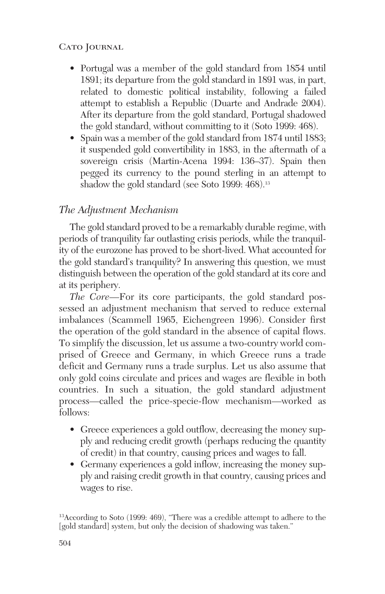- Portugal was a member of the gold standard from 1854 until 1891; its departure from the gold standard in 1891 was, in part, related to domestic political instability, following a failed attempt to establish a Republic (Duarte and Andrade 2004). After its departure from the gold standard, Portugal shadowed the gold standard, without committing to it (Soto 1999: 468).
- Spain was a member of the gold standard from 1874 until 1883; it suspended gold convertibility in 1883, in the aftermath of a sovereign crisis (Martin-Acena 1994: 136–37). Spain then pegged its currency to the pound sterling in an attempt to shadow the gold standard (see Soto 1999: 468).<sup>13</sup>

# *The Adjustment Mechanism*

The gold standard proved to be a remarkably durable regime, with periods of tranquility far outlasting crisis periods, while the tranquility of the eurozone has proved to be short-lived. What accounted for the gold standard's tranquility? In answering this question, we must distinguish between the operation of the gold standard at its core and at its periphery.

*The Core*—For its core participants, the gold standard possessed an adjustment mechanism that served to reduce external imbalances (Scammell 1965, Eichengreen 1996). Consider first the operation of the gold standard in the absence of capital flows. To simplify the discussion, let us assume a two-country world comprised of Greece and Germany, in which Greece runs a trade deficit and Germany runs a trade surplus. Let us also assume that only gold coins circulate and prices and wages are flexible in both countries. In such a situation, the gold standard adjustment process—called the price-specie-flow mechanism—worked as follows:

- Greece experiences a gold outflow, decreasing the money supply and reducing credit growth (perhaps reducing the quantity of credit) in that country, causing prices and wages to fall.
- Germany experiences a gold inflow, increasing the money supply and raising credit growth in that country, causing prices and wages to rise.

13According to Soto (1999: 469), "There was a credible attempt to adhere to the [gold standard] system, but only the decision of shadowing was taken."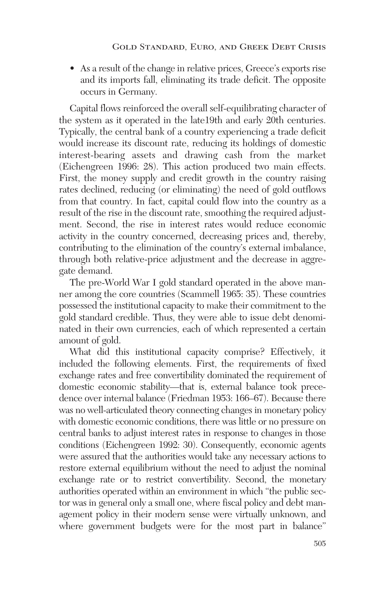• As a result of the change in relative prices, Greece's exports rise and its imports fall, eliminating its trade deficit. The opposite occurs in Germany.

Capital flows reinforced the overall self-equilibrating character of the system as it operated in the late19th and early 20th centuries. Typically, the central bank of a country experiencing a trade deficit would increase its discount rate, reducing its holdings of domestic interest-bearing assets and drawing cash from the market (Eichengreen 1996: 28). This action produced two main effects. First, the money supply and credit growth in the country raising rates declined, reducing (or eliminating) the need of gold outflows from that country. In fact, capital could flow into the country as a result of the rise in the discount rate, smoothing the required adjustment. Second, the rise in interest rates would reduce economic activity in the country concerned, decreasing prices and, thereby, contributing to the elimination of the country's external imbalance, through both relative-price adjustment and the decrease in aggregate demand.

The pre-World War I gold standard operated in the above manner among the core countries (Scammell 1965: 35). These countries possessed the institutional capacity to make their commitment to the gold standard credible. Thus, they were able to issue debt denominated in their own currencies, each of which represented a certain amount of gold.

What did this institutional capacity comprise? Effectively, it included the following elements. First, the requirements of fixed exchange rates and free convertibility dominated the requirement of domestic economic stability—that is, external balance took precedence over internal balance (Friedman 1953: 166–67). Because there was no well-articulated theory connecting changes in monetary policy with domestic economic conditions, there was little or no pressure on central banks to adjust interest rates in response to changes in those conditions (Eichengreen 1992: 30). Consequently, economic agents were assured that the authorities would take any necessary actions to restore external equilibrium without the need to adjust the nominal exchange rate or to restrict convertibility. Second, the monetary authorities operated within an environment in which "the public sector was in general only a small one, where fiscal policy and debt management policy in their modern sense were virtually unknown, and where government budgets were for the most part in balance"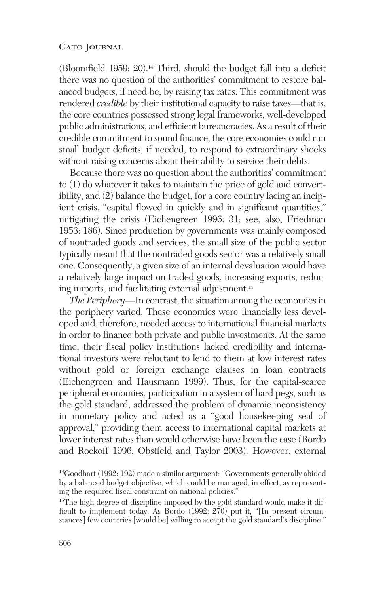(Bloomfield 1959: 20).14 Third, should the budget fall into a deficit there was no question of the authorities' commitment to restore balanced budgets, if need be, by raising tax rates. This commitment was rendered *credible* by their institutional capacity to raise taxes—that is, the core countries possessed strong legal frameworks, well-developed public administrations, and efficient bureaucracies. As a result of their credible commitment to sound finance, the core economies could run small budget deficits, if needed, to respond to extraordinary shocks without raising concerns about their ability to service their debts.

Because there was no question about the authorities' commitment to (1) do whatever it takes to maintain the price of gold and convertibility, and (2) balance the budget, for a core country facing an incipient crisis, "capital flowed in quickly and in significant quantities," mitigating the crisis (Eichengreen 1996: 31; see, also, Friedman 1953: 186). Since production by governments was mainly composed of nontraded goods and services, the small size of the public sector typically meant that the nontraded goods sector was a relatively small one. Consequently, a given size of an internal devaluation would have a relatively large impact on traded goods, increasing exports, reducing imports, and facilitating external adjustment.15

*The Periphery*—In contrast, the situation among the economies in the periphery varied. These economies were financially less developed and, therefore, needed access to international financial markets in order to finance both private and public investments. At the same time, their fiscal policy institutions lacked credibility and international investors were reluctant to lend to them at low interest rates without gold or foreign exchange clauses in loan contracts (Eichengreen and Hausmann 1999). Thus, for the capital-scarce peripheral economies, participation in a system of hard pegs, such as the gold standard, addressed the problem of dynamic inconsistency in monetary policy and acted as a "good housekeeping seal of approval," providing them access to international capital markets at lower interest rates than would otherwise have been the case (Bordo and Rockoff 1996, Obstfeld and Taylor 2003). However, external

<sup>14</sup>Goodhart (1992: 192) made a similar argument: "Governments generally abided by a balanced budget objective, which could be managed, in effect, as representing the required fiscal constraint on national policies."

<sup>&</sup>lt;sup>15</sup>The high degree of discipline imposed by the gold standard would make it difficult to implement today. As Bordo (1992: 270) put it, "[In present circumstances] few countries [would be] willing to accept the gold standard's discipline."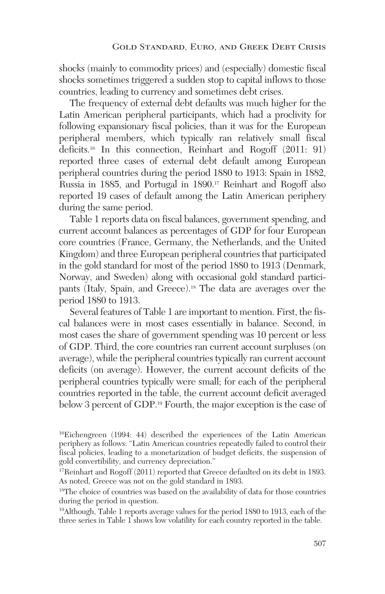shocks (mainly to commodity prices) and (especially) domestic fiscal shocks sometimes triggered a sudden stop to capital inflows to those countries, leading to currency and sometimes debt crises.

The frequency of external debt defaults was much higher for the Latin American peripheral participants, which had a proclivity for following expansionary fiscal policies, than it was for the European peripheral members, which typically ran relatively small fiscal deficits.16 In this connection, Reinhart and Rogoff (2011: 91) reported three cases of external debt default among European peripheral countries during the period 1880 to 1913: Spain in 1882, Russia in 1885, and Portugal in 1890.17 Reinhart and Rogoff also reported 19 cases of default among the Latin American periphery during the same period.

Table 1 reports data on fiscal balances, government spending, and current account balances as percentages of GDP for four European core countries (France, Germany, the Netherlands, and the United Kingdom) and three European peripheral countries that participated in the gold standard for most of the period 1880 to 1913 (Denmark, Norway, and Sweden) along with occasional gold standard participants (Italy, Spain, and Greece).18 The data are averages over the period 1880 to 1913.

Several features of Table 1 are important to mention. First, the fiscal balances were in most cases essentially in balance. Second, in most cases the share of government spending was 10 percent or less of GDP. Third, the core countries ran current account surpluses (on average), while the peripheral countries typically ran current account deficits (on average). However, the current account deficits of the peripheral countries typically were small; for each of the peripheral countries reported in the table, the current account deficit averaged below 3 percent of GDP.<sup>19</sup> Fourth, the major exception is the case of

19Although, Table 1 reports average values for the period 1880 to 1913, each of the three series in Table 1 shows low volatility for each country reported in the table.

<sup>16</sup>Eichengreen (1994: 44) described the experiences of the Latin American periphery as follows: "Latin American countries repeatedly failed to control their fiscal policies, leading to a monetarization of budget deficits, the suspension of gold convertibility, and currency depreciation."

<sup>&</sup>lt;sup>17</sup>Reinhart and Rogoff (2011) reported that Greece defaulted on its debt in 1893. As noted, Greece was not on the gold standard in 1893.

<sup>&</sup>lt;sup>18</sup>The choice of countries was based on the availability of data for those countries during the period in question.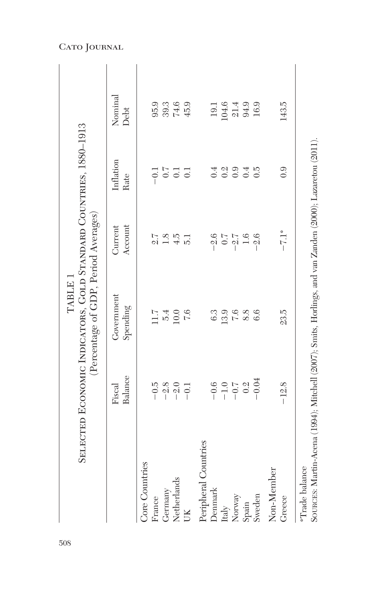|                                                                                                                                   |                                      | SELECTED ECONOMIC INDICATORS, GOLD STANDARD COUNTRIES, 1880-1913<br>(Percentage of GDP, Period Averages)<br>TABLE 1 |                     |                         |                                       |  |
|-----------------------------------------------------------------------------------------------------------------------------------|--------------------------------------|---------------------------------------------------------------------------------------------------------------------|---------------------|-------------------------|---------------------------------------|--|
|                                                                                                                                   | Balance<br>Fiscal                    | Government<br>Spending                                                                                              | Account<br>Current  | Inflation<br>Rate       | Nominal<br>Debt                       |  |
| Core Countries<br>France                                                                                                          | $-0.5$                               |                                                                                                                     | $\frac{7}{2}$       | $-0.1$                  | 95.9                                  |  |
| Germany                                                                                                                           |                                      | $1.7$<br>5.40<br>5.6                                                                                                |                     | 0.7                     |                                       |  |
| Netherlands                                                                                                                       | $-2.0$<br>$-2.0$<br>$-1$             |                                                                                                                     | $1.8$<br>$4.5$      | 0.1                     | $39.3$<br>$74.6$<br>$45.9$            |  |
| UK                                                                                                                                |                                      |                                                                                                                     | $\overline{51}$     | $\overline{0.1}$        |                                       |  |
| Peripheral Countries                                                                                                              |                                      |                                                                                                                     |                     |                         |                                       |  |
| Denmark                                                                                                                           |                                      | 6.3                                                                                                                 | $-2.6$              | 0.4                     | 19.1                                  |  |
| Italy                                                                                                                             | $-0.0$<br>$-1.0$<br>$-0.2$<br>$-0.2$ | 13.9                                                                                                                | $0.7$               |                         | $104.6$<br>$21.4$<br>$94.9$<br>$16.9$ |  |
| Norway                                                                                                                            |                                      | 7.6                                                                                                                 |                     | $0.\overline{3}$<br>0.9 |                                       |  |
| Spain                                                                                                                             |                                      | 8.8                                                                                                                 | $-2.7$<br>1.6       | 0.4                     |                                       |  |
| Sweden                                                                                                                            | $-0.04$                              | 6.6                                                                                                                 | $-2.6$              | $\tilde{c}$             |                                       |  |
| Non-Member                                                                                                                        |                                      |                                                                                                                     |                     |                         |                                       |  |
| Greece                                                                                                                            | $-12.8$                              | 23.5                                                                                                                | $-7.1$ <sup>*</sup> | 0.9                     | 143.5                                 |  |
| SOURCES: Martin-Acena (1994); Mitchell (2007); Smits, Horlings, and van Zanden (2000); Lazaretou (2011).<br><b>*Trade balance</b> |                                      |                                                                                                                     |                     |                         |                                       |  |

# Cato Journal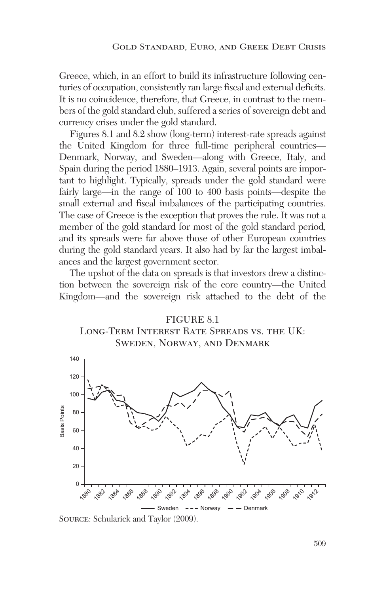Greece, which, in an effort to build its infrastructure following centuries of occupation, consistently ran large fiscal and external deficits. It is no coincidence, therefore, that Greece, in contrast to the members of the gold standard club, suffered a series of sovereign debt and currency crises under the gold standard.

Figures 8.1 and 8.2 show (long-term) interest-rate spreads against the United Kingdom for three full-time peripheral countries— Denmark, Norway, and Sweden—along with Greece, Italy, and Spain during the period 1880–1913. Again, several points are important to highlight. Typically, spreads under the gold standard were fairly large—in the range of 100 to 400 basis points—despite the small external and fiscal imbalances of the participating countries. The case of Greece is the exception that proves the rule. It was not a member of the gold standard for most of the gold standard period, and its spreads were far above those of other European countries during the gold standard years. It also had by far the largest imbalances and the largest government sector.

The upshot of the data on spreads is that investors drew a distinction between the sovereign risk of the core country—the United Kingdom—and the sovereign risk attached to the debt of the





Source: Schularick and Taylor (2009).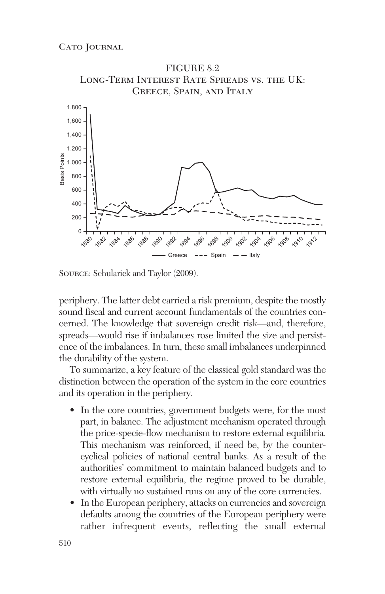

Source: Schularick and Taylor (2009).

 periphery. The latter debt carried a risk premium, despite the mostly sound fiscal and current account fundamentals of the countries concerned. The knowledge that sovereign credit risk—and, therefore, spreads—would rise if imbalances rose limited the size and persistence of the imbalances. In turn, these small imbalances underpinned the durability of the system.

To summarize, a key feature of the classical gold standard was the distinction between the operation of the system in the core countries and its operation in the periphery.

- In the core countries, government budgets were, for the most part, in balance. The adjustment mechanism operated through the price-specie-flow mechanism to restore external equilibria. This mechanism was reinforced, if need be, by the countercyclical policies of national central banks. As a result of the authorities' commitment to maintain balanced budgets and to restore external equilibria, the regime proved to be durable, with virtually no sustained runs on any of the core currencies.
- In the European periphery, attacks on currencies and sovereign defaults among the countries of the European periphery were rather infrequent events, reflecting the small external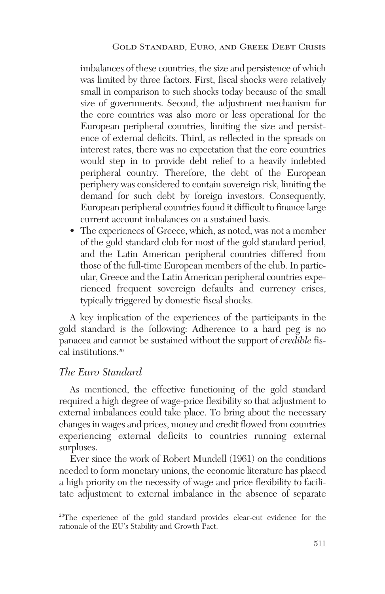imbalances of these countries, the size and persistence of which was limited by three factors. First, fiscal shocks were relatively small in comparison to such shocks today because of the small size of governments. Second, the adjustment mechanism for the core countries was also more or less operational for the European peripheral countries, limiting the size and persistence of external deficits. Third, as reflected in the spreads on interest rates, there was no expectation that the core countries would step in to provide debt relief to a heavily indebted peripheral country. Therefore, the debt of the European periphery was considered to contain sovereign risk, limiting the demand for such debt by foreign investors. Consequently, European peripheral countries found it difficult to finance large current account imbalances on a sustained basis.

• The experiences of Greece, which, as noted, was not a member of the gold standard club for most of the gold standard period, and the Latin American peripheral countries differed from those of the full-time European members of the club. In particular, Greece and the Latin American peripheral countries experienced frequent sovereign defaults and currency crises, typically triggered by domestic fiscal shocks.

A key implication of the experiences of the participants in the gold standard is the following: Adherence to a hard peg is no panacea and cannot be sustained without the support of *credible* fiscal institutions.20

### *The Euro Standard*

As mentioned, the effective functioning of the gold standard required a high degree of wage-price flexibility so that adjustment to external imbalances could take place. To bring about the necessary changes in wages and prices, money and credit flowed from countries experiencing external deficits to countries running external surpluses.

Ever since the work of Robert Mundell (1961) on the conditions needed to form monetary unions, the economic literature has placed a high priority on the necessity of wage and price flexibility to facilitate adjustment to external imbalance in the absence of separate

20The experience of the gold standard provides clear-cut evidence for the rationale of the EU's Stability and Growth Pact.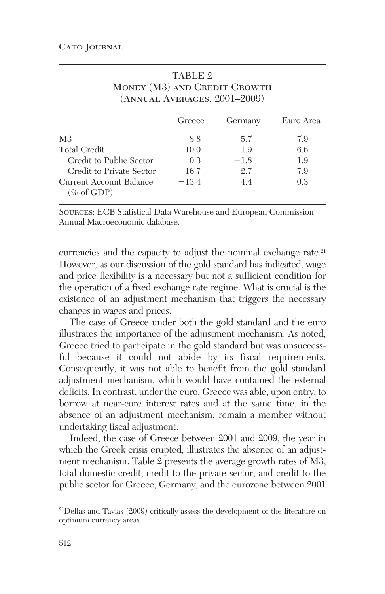|                                       | Greece  | Germany | Euro Area |
|---------------------------------------|---------|---------|-----------|
| M <sub>3</sub>                        | 8.8     | 5.7     | 7.9       |
| Total Credit                          | 10.0    | 1.9     | 6.6       |
| Credit to Public Sector               | 0.3     | $-1.8$  | 1.9       |
| Credit to Private Sector              | 16.7    | 2.7     | 7.9       |
| Current Account Balance<br>(% of GDP) | $-13.4$ | 4.4     | 0.3       |

| TABLE 2                      |
|------------------------------|
| MONEY (M3) AND CREDIT GROWTH |
| (ANNUAL AVERAGES, 2001-2009) |

Sources: ECB Statistical Data Warehouse and European Commission Annual Macroeconomic database.

currencies and the capacity to adjust the nominal exchange rate.<sup>21</sup> However, as our discussion of the gold standard has indicated, wage and price flexibility is a necessary but not a sufficient condition for the operation of a fixed exchange rate regime. What is crucial is the existence of an adjustment mechanism that triggers the necessary changes in wages and prices.

The case of Greece under both the gold standard and the euro illustrates the importance of the adjustment mechanism. As noted, Greece tried to participate in the gold standard but was unsuccessful because it could not abide by its fiscal requirements. Consequently, it was not able to benefit from the gold standard adjustment mechanism, which would have contained the external deficits. In contrast, under the euro, Greece was able, upon entry, to borrow at near-core interest rates and at the same time, in the absence of an adjustment mechanism, remain a member without undertaking fiscal adjustment.

Indeed, the case of Greece between 2001 and 2009, the year in which the Greek crisis erupted, illustrates the absence of an adjustment mechanism. Table 2 presents the average growth rates of M3, total domestic credit, credit to the private sector, and credit to the public sector for Greece, Germany, and the eurozone between 2001

<sup>21</sup>Dellas and Tavlas (2009) critically assess the development of the literature on optimum currency areas.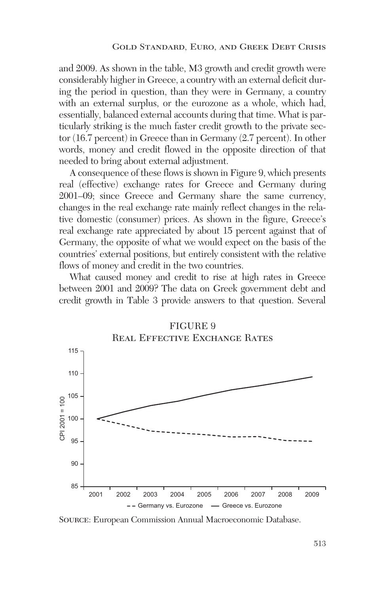and 2009. As shown in the table, M3 growth and credit growth were considerably higher in Greece, a country with an external deficit during the period in question, than they were in Germany, a country with an external surplus, or the eurozone as a whole, which had, essentially, balanced external accounts during that time. What is particularly striking is the much faster credit growth to the private sector (16.7 percent) in Greece than in Germany (2.7 percent). In other words, money and credit flowed in the opposite direction of that needed to bring about external adjustment.

A consequence of these flows is shown in Figure 9, which presents real (effective) exchange rates for Greece and Germany during 2001–09; since Greece and Germany share the same currency, changes in the real exchange rate mainly reflect changes in the relative domestic (consumer) prices. As shown in the figure, Greece's real exchange rate appreciated by about 15 percent against that of Germany, the opposite of what we would expect on the basis of the countries' external positions, but entirely consistent with the relative flows of money and credit in the two countries.

What caused money and credit to rise at high rates in Greece between 2001 and 2009? The data on Greek government debt and credit growth in Table 3 provide answers to that question. Several



#### FIGURE 9 Real Effective Exchange Rates

Source: European Commission Annual Macroeconomic Database.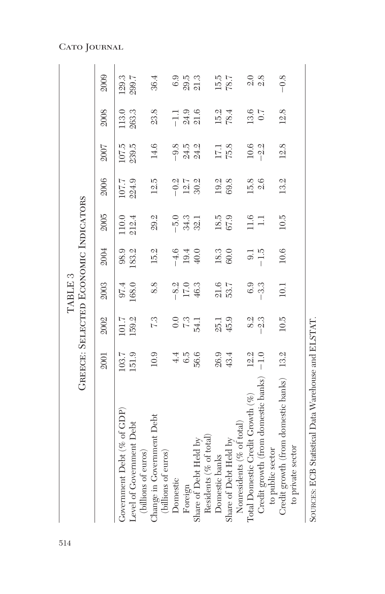|                                                          |        |                 | TABLE <sub>3</sub> |                |                                      |                           |                |                        |        |
|----------------------------------------------------------|--------|-----------------|--------------------|----------------|--------------------------------------|---------------------------|----------------|------------------------|--------|
|                                                          |        |                 |                    |                | GREECE: SELECTED ECONOMIC INDICATORS |                           |                |                        |        |
|                                                          | 2001   | 2002            | 2003               | 2004           | 2005                                 | 2006                      | 2007           | 2008                   | 2009   |
| Government Debt (% of GDP)                               | 103.7  | 101.7           | 97.4               | 98.9           | 110.0                                | 107.7                     | 107.5          | 113.0                  | 129.3  |
| Level of Government Debt<br>(billions of euros)          | 151.9  | 159.2           | 168.0              | 183.2          | 212.4                                | 224.9                     | 239.5          | 263.3                  | 299.7  |
| Change in Government Debt<br>(billions of euros)         | 10.9   | 73              | 8.8                | 15.2           | 29.2                                 | 12.5                      | 14.6           | 23.8                   | 36.4   |
| Domestic                                                 | 4.4    |                 |                    |                | $-5.0$                               |                           |                |                        | 6.9    |
| Foreign                                                  | 6.5    | $\frac{67}{10}$ | $-8.2$<br>17.0     | $-4.6$<br>19.4 | 34.3                                 | $-0.\overline{2}$<br>12.7 | $-9.8$<br>24.5 | $-1.3$<br>24.9<br>21.6 | 29.5   |
| Share of Debt Held by                                    | 56.6   | $-54.1$         | 46.3               | 40.0           | 32.1                                 | 30.2                      | 24.2           |                        | 21.3   |
| Residents (% of total)                                   |        |                 |                    |                |                                      |                           |                |                        |        |
| Domestic banks                                           | 26.9   | 25.1            | $21.6$             | 18.3           | 18.5                                 | 19.2                      | 17.1           | 15.2                   | 15.5   |
| Share of Debt Held by                                    | 43.4   | 45.9            | 53.7               | 60.0           | 67.9                                 | 69.8                      | 75.8           | 78.4                   | 787    |
| Nonresidents ( $%$ of total)                             |        |                 |                    |                |                                      |                           |                |                        |        |
| Total Domestic Credit Growth (%)                         | 12.2   | 8.2             | 6.9                | $\overline{0}$ | 11.6                                 | 15.8                      | 10.6           | 13.6                   | 2.0    |
| Credit growth (from domestic banks)<br>to public sector  | $-1.0$ | 2.3             | $-3.3$             | $-1.5$         | $\Box$                               | 2.6                       | $-2.2$         | 0.7                    | 2.8    |
| Credit growth (from domestic banks)<br>to private sector | 13.2   | 10.5            | 10.1               | 10.6           | 10.5                                 | 13.2                      | 12.8           | 12.8                   | $-0.8$ |

SOURCES: ECB Statistical Data Warehouse and ELSTAT.

SOURCES: ECB Statistical Data Warehouse and ELSTAT.

Cato Journal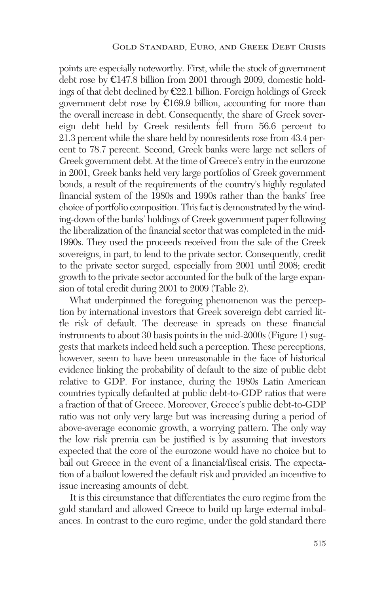points are especially noteworthy. First, while the stock of government debt rose by €147.8 billion from 2001 through 2009, domestic holdings of that debt declined by €22.1 billion. Foreign holdings of Greek government debt rose by  $E169.9$  billion, accounting for more than the overall increase in debt. Consequently, the share of Greek sovereign debt held by Greek residents fell from 56.6 percent to 21.3 percent while the share held by nonresidents rose from 43.4 percent to 78.7 percent. Second, Greek banks were large net sellers of Greek government debt. At the time of Greece's entry in the eurozone in 2001, Greek banks held very large portfolios of Greek government bonds, a result of the requirements of the country's highly regulated financial system of the 1980s and 1990s rather than the banks' free choice of portfolio composition. This fact is demonstrated by the winding-down of the banks' holdings of Greek government paper following the liberalization of the financial sector that was completed in the mid-1990s. They used the proceeds received from the sale of the Greek sovereigns, in part, to lend to the private sector. Consequently, credit to the private sector surged, especially from 2001 until 2008; credit growth to the private sector accounted for the bulk of the large expansion of total credit during 2001 to 2009 (Table 2).

What underpinned the foregoing phenomenon was the perception by international investors that Greek sovereign debt carried little risk of default. The decrease in spreads on these financial instruments to about 30 basis points in the mid-2000s (Figure 1) suggests that markets indeed held such a perception. These perceptions, however, seem to have been unreasonable in the face of historical evidence linking the probability of default to the size of public debt relative to GDP. For instance, during the 1980s Latin American countries typically defaulted at public debt-to-GDP ratios that were a fraction of that of Greece. Moreover, Greece's public debt-to-GDP ratio was not only very large but was increasing during a period of above-average economic growth, a worrying pattern. The only way the low risk premia can be justified is by assuming that investors expected that the core of the eurozone would have no choice but to bail out Greece in the event of a financial/fiscal crisis. The expectation of a bailout lowered the default risk and provided an incentive to issue increasing amounts of debt.

It is this circumstance that differentiates the euro regime from the gold standard and allowed Greece to build up large external imbalances. In contrast to the euro regime, under the gold standard there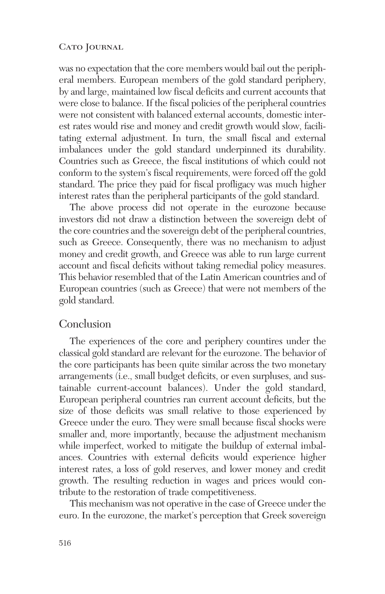was no expectation that the core members would bail out the peripheral members. European members of the gold standard periphery, by and large, maintained low fiscal deficits and current accounts that were close to balance. If the fiscal policies of the peripheral countries were not consistent with balanced external accounts, domestic interest rates would rise and money and credit growth would slow, facilitating external adjustment. In turn, the small fiscal and external imbalances under the gold standard underpinned its durability. Countries such as Greece, the fiscal institutions of which could not conform to the system's fiscal requirements, were forced off the gold standard. The price they paid for fiscal profligacy was much higher interest rates than the peripheral participants of the gold standard.

The above process did not operate in the eurozone because investors did not draw a distinction between the sovereign debt of the core countries and the sovereign debt of the peripheral countries, such as Greece. Consequently, there was no mechanism to adjust money and credit growth, and Greece was able to run large current account and fiscal deficits without taking remedial policy measures. This behavior resembled that of the Latin American countries and of European countries (such as Greece) that were not members of the gold standard.

### Conclusion

The experiences of the core and periphery countires under the classical gold standard are relevant for the eurozone. The behavior of the core participants has been quite similar across the two monetary arrangements (i.e., small budget deficits, or even surpluses, and sustainable current-account balances). Under the gold standard, European peripheral countries ran current account deficits, but the size of those deficits was small relative to those experienced by Greece under the euro. They were small because fiscal shocks were smaller and, more importantly, because the adjustment mechanism while imperfect, worked to mitigate the buildup of external imbalances. Countries with external deficits would experience higher interest rates, a loss of gold reserves, and lower money and credit growth. The resulting reduction in wages and prices would contribute to the restoration of trade competitiveness.

This mechanism was not operative in the case of Greece under the euro. In the eurozone, the market's perception that Greek sovereign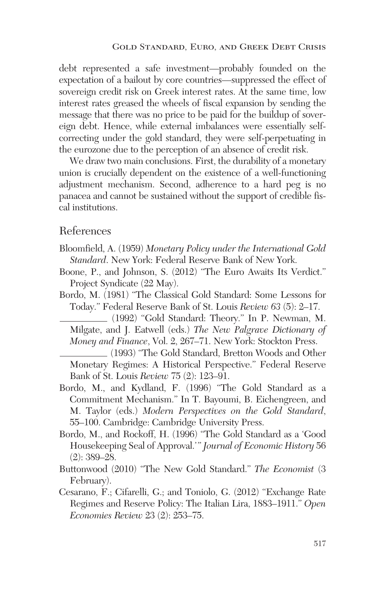debt represented a safe investment—probably founded on the expectation of a bailout by core countries—suppressed the effect of sovereign credit risk on Greek interest rates. At the same time, low interest rates greased the wheels of fiscal expansion by sending the message that there was no price to be paid for the buildup of sovereign debt. Hence, while external imbalances were essentially selfcorrecting under the gold standard, they were self-perpetuating in the eurozone due to the perception of an absence of credit risk.

We draw two main conclusions. First, the durability of a monetary union is crucially dependent on the existence of a well-functioning adjustment mechanism. Second, adherence to a hard peg is no panacea and cannot be sustained without the support of credible fiscal institutions.

### References

- Bloomfield, A. (1959) *Monetary Policy under the International Gold Standard*. New York: Federal Reserve Bank of New York.
- Boone, P., and Johnson, S. (2012) "The Euro Awaits Its Verdict." Project Syndicate (22 May).
- Bordo, M. (1981) "The Classical Gold Standard: Some Lessons for Today." Federal Reserve Bank of St. Louis *Review 63* (5): 2–17.

(1992) "Gold Standard: Theory." In P. Newman, M. Milgate, and J. Eatwell (eds.) *The New Palgrave Dictionary of Money and Finance*, Vol. 2, 267–71. New York: Stockton Press.

- (1993) "The Gold Standard, Bretton Woods and Other Monetary Regimes: A Historical Perspective." Federal Reserve Bank of St. Louis *Review* 75 (2): 123–91.
- Bordo, M., and Kydland, F. (1996) "The Gold Standard as a Commitment Mechanism." In T. Bayoumi, B. Eichengreen, and M. Taylor (eds.) *Modern Perspectives on the Gold Standard*, 55–100. Cambridge: Cambridge University Press.
- Bordo, M., and Rockoff, H. (1996) "The Gold Standard as a 'Good Housekeeping Seal of Approval.'" *Journal of Economic History* 56 (2): 389–28.
- Buttonwood (2010) "The New Gold Standard." *The Economist* (3 February).
- Cesarano, F.; Cifarelli, G.; and Toniolo, G. (2012) "Exchange Rate Regimes and Reserve Policy: The Italian Lira, 1883–1911." *Open Economies Review* 23 (2): 253–75.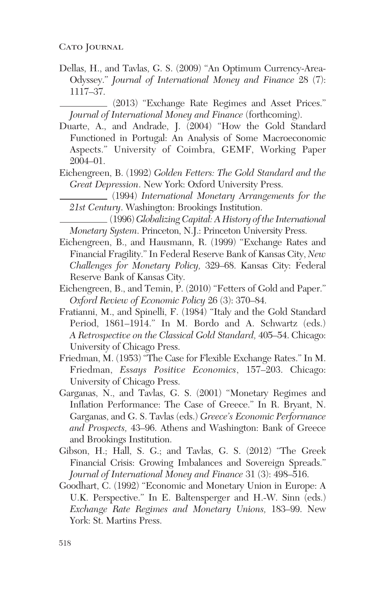Dellas, H., and Tavlas, G. S. (2009) "An Optimum Currency-Area-Odyssey." *Journal of International Money and Finance* 28 (7): 1117–37.

(2013) "Exchange Rate Regimes and Asset Prices." *Journal of International Money and Finance* (forthcoming).

- Duarte, A., and Andrade, J. (2004) "How the Gold Standard Functioned in Portugal: An Analysis of Some Macroeconomic Aspects." University of Coimbra, GEMF, Working Paper 2004–01.
- Eichengreen, B. (1992) *Golden Fetters: The Gold Standard and the Great Depression*. New York: Oxford University Press.
- (1994) *International Monetary Arrangements for the 21st Century*. Washington: Brookings Institution.

(1996) *Globalizing Capital: A History of the International Monetary System*. Princeton, N.J.: Princeton University Press.

- Eichengreen, B., and Hausmann, R. (1999) "Exchange Rates and Financial Fragility." In Federal Reserve Bank of Kansas City, *New Challenges for Monetary Policy,* 329–68. Kansas City: Federal Reserve Bank of Kansas City.
- Eichengreen, B., and Temin, P. (2010) "Fetters of Gold and Paper." *Oxford Review of Economic Policy* 26 (3): 370–84.
- Fratianni, M., and Spinelli, F. (1984) "Italy and the Gold Standard Period, 1861–1914." In M. Bordo and A. Schwartz (eds.) *A Retrospective on the Classical Gold Standard,* 405–54. Chicago: University of Chicago Press.
- Friedman, M. (1953) "The Case for Flexible Exchange Rates." In M. Friedman, *Essays Positive Economics*, 157–203. Chicago: University of Chicago Press.
- Garganas, N., and Tavlas, G. S. (2001) "Monetary Regimes and Inflation Performance: The Case of Greece." In R. Bryant, N. Garganas, and G. S. Tavlas (eds.) *Greece's Economic Performance and Prospects,* 43–96. Athens and Washington: Bank of Greece and Brookings Institution.
- Gibson, H.; Hall, S. G.; and Tavlas, G. S. (2012) "The Greek Financial Crisis: Growing Imbalances and Sovereign Spreads." *Journal of International Money and Finance* 31 (3): 498–516.
- Goodhart, C. (1992) "Economic and Monetary Union in Europe: A U.K. Perspective." In E. Baltensperger and H.-W. Sinn (eds.) *Exchange Rate Regimes and Monetary Unions,* 183–99. New York: St. Martins Press.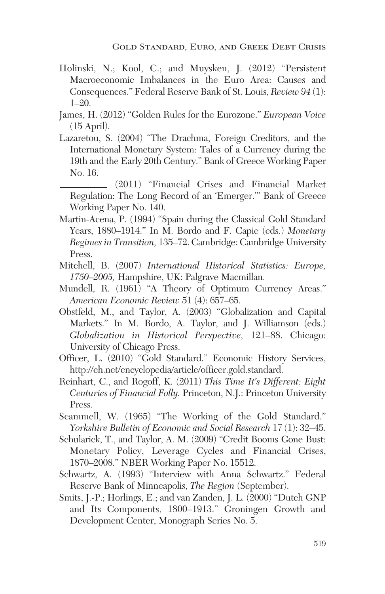- Holinski, N.; Kool, C.; and Muysken, J. (2012) "Persistent Macroeconomic Imbalances in the Euro Area: Causes and Consequences." Federal Reserve Bank of St. Louis, *Review 94* (1): 1–20.
- James, H. (2012) "Golden Rules for the Eurozone." *European Voice* (15 April).
- Lazaretou, S. (2004) "The Drachma, Foreign Creditors, and the International Monetary System: Tales of a Currency during the 19th and the Early 20th Century." Bank of Greece Working Paper No. 16.
- (2011) "Financial Crises and Financial Market Regulation: The Long Record of an 'Emerger.'" Bank of Greece Working Paper No. 140.
- Martin-Acena, P. (1994) "Spain during the Classical Gold Standard Years, 1880–1914." In M. Bordo and F. Capie (eds.) *Monetary Regimes in Transition,* 135–72. Cambridge: Cambridge University Press.
- Mitchell, B. (2007) *International Historical Statistics: Europe, 1750–2005,* Hampshire, UK: Palgrave Macmillan.
- Mundell, R. (1961) "A Theory of Optimum Currency Areas." *American Economic Review* 51 (4): 657–65.
- Obstfeld, M., and Taylor, A. (2003) "Globalization and Capital Markets." In M. Bordo, A. Taylor, and J. Williamson (eds.) *Globalization in Historical Perspective,* 121–88. Chicago: University of Chicago Press.
- Officer, L. (2010) "Gold Standard." Economic History Services, http://eh.net/encyclopedia/article/officer.gold.standard.
- Reinhart, C., and Rogoff, K. (2011) *This Time It's Different: Eight Centuries of Financial Folly.* Princeton, N.J.: Princeton University Press.
- Scammell, W. (1965) "The Working of the Gold Standard." *Yorkshire Bulletin of Economic and Social Research* 17 (1): 32–45.
- Schularick, T., and Taylor, A. M. (2009) "Credit Booms Gone Bust: Monetary Policy, Leverage Cycles and Financial Crises, 1870–2008." NBER Working Paper No. 15512.
- Schwartz, A. (1993) "Interview with Anna Schwartz." Federal Reserve Bank of Minneapolis, *The Region* (September).
- Smits, J.-P.; Horlings, E.; and van Zanden, J. L. (2000) "Dutch GNP and Its Components, 1800–1913." Groningen Growth and Development Center, Monograph Series No. 5.